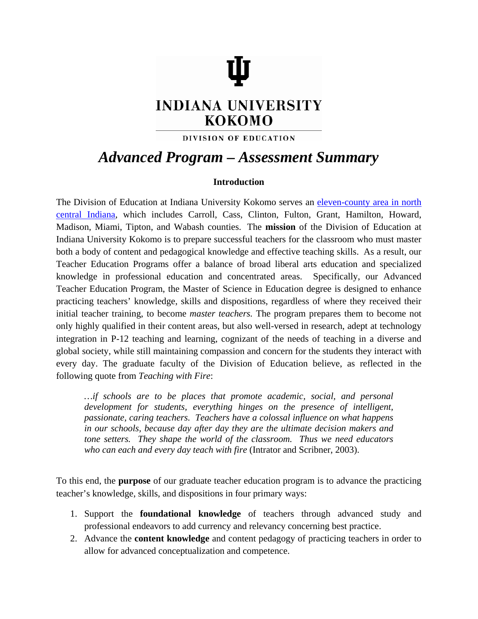# **INDIANA UNIVERSITY KOKOMO**

### DIVISION OF EDUCATION

## *Advanced Program – Assessment Summary*

#### **Introduction**

The Division of Education at Indiana University Kokomo serves an [eleven-county area in north](http://www.iuk.edu/%7Ekoeduc/ElevenCountyMap.shtml)  [central Indiana,](http://www.iuk.edu/%7Ekoeduc/ElevenCountyMap.shtml) which includes Carroll, Cass, Clinton, Fulton, Grant, Hamilton, Howard, Madison, Miami, Tipton, and Wabash counties. The **mission** of the Division of Education at Indiana University Kokomo is to prepare successful teachers for the classroom who must master both a body of content and pedagogical knowledge and effective teaching skills. As a result, our Teacher Education Programs offer a balance of broad liberal arts education and specialized knowledge in professional education and concentrated areas. Specifically, our Advanced Teacher Education Program, the Master of Science in Education degree is designed to enhance practicing teachers' knowledge, skills and dispositions, regardless of where they received their initial teacher training, to become *master teachers.* The program prepares them to become not only highly qualified in their content areas, but also well-versed in research, adept at technology integration in P-12 teaching and learning, cognizant of the needs of teaching in a diverse and global society, while still maintaining compassion and concern for the students they interact with every day. The graduate faculty of the Division of Education believe, as reflected in the following quote from *Teaching with Fire*:

*…if schools are to be places that promote academic, social, and personal development for students, everything hinges on the presence of intelligent, passionate, caring teachers. Teachers have a colossal influence on what happens in our schools, because day after day they are the ultimate decision makers and tone setters. They shape the world of the classroom. Thus we need educators who can each and every day teach with fire* (Intrator and Scribner, 2003).

To this end, the **purpose** of our graduate teacher education program is to advance the practicing teacher's knowledge, skills, and dispositions in four primary ways:

- 1. Support the **foundational knowledge** of teachers through advanced study and professional endeavors to add currency and relevancy concerning best practice.
- 2. Advance the **content knowledge** and content pedagogy of practicing teachers in order to allow for advanced conceptualization and competence.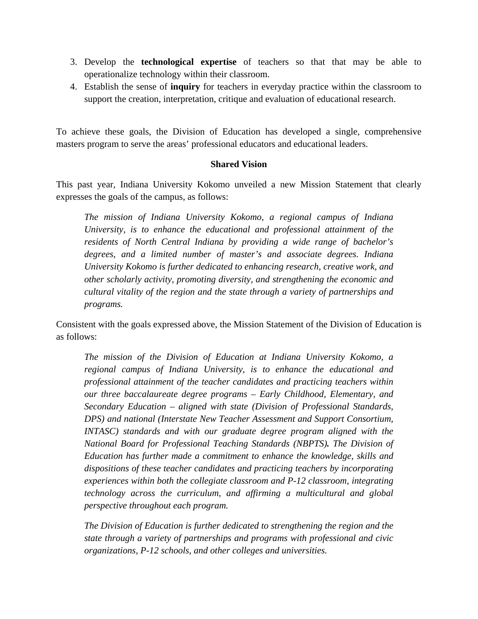- 3. Develop the **technological expertise** of teachers so that that may be able to operationalize technology within their classroom.
- 4. Establish the sense of **inquiry** for teachers in everyday practice within the classroom to support the creation, interpretation, critique and evaluation of educational research.

To achieve these goals, the Division of Education has developed a single, comprehensive masters program to serve the areas' professional educators and educational leaders.

#### **Shared Vision**

This past year, Indiana University Kokomo unveiled a new Mission Statement that clearly expresses the goals of the campus, as follows:

*The mission of Indiana University Kokomo, a regional campus of Indiana University, is to enhance the educational and professional attainment of the residents of North Central Indiana by providing a wide range of bachelor's degrees, and a limited number of master's and associate degrees. Indiana University Kokomo is further dedicated to enhancing research, creative work, and other scholarly activity, promoting diversity, and strengthening the economic and cultural vitality of the region and the state through a variety of partnerships and programs.*

Consistent with the goals expressed above, the Mission Statement of the Division of Education is as follows:

*The mission of the Division of Education at Indiana University Kokomo, a regional campus of Indiana University, is to enhance the educational and professional attainment of the teacher candidates and practicing teachers within our three baccalaureate degree programs – Early Childhood, Elementary, and Secondary Education – aligned with state (Division of Professional Standards, DPS) and national (Interstate New Teacher Assessment and Support Consortium, INTASC*) standards and with our graduate degree program aligned with the *National Board for Professional Teaching Standards (NBPTS). The Division of Education has further made a commitment to enhance the knowledge, skills and dispositions of these teacher candidates and practicing teachers by incorporating experiences within both the collegiate classroom and P-12 classroom, integrating technology across the curriculum, and affirming a multicultural and global perspective throughout each program.* 

*The Division of Education is further dedicated to strengthening the region and the state through a variety of partnerships and programs with professional and civic organizations, P-12 schools, and other colleges and universities.*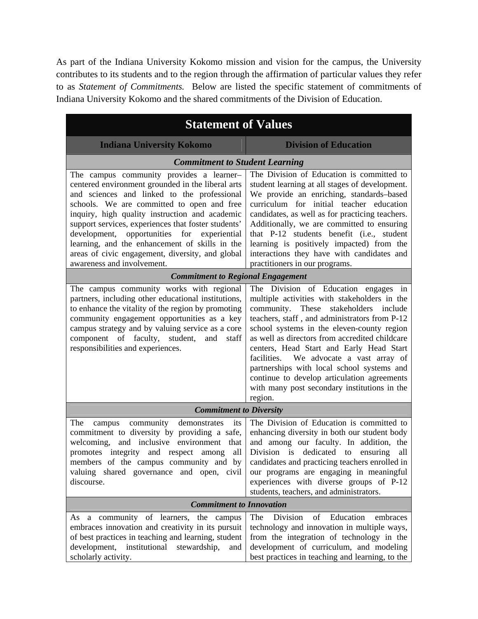As part of the Indiana University Kokomo mission and vision for the campus, the University contributes to its students and to the region through the affirmation of particular values they refer to as *Statement of Commitments.* Below are listed the specific statement of commitments of Indiana University Kokomo and the shared commitments of the Division of Education.

| <b>Statement of Values</b>                                                                                                                                                                                                                                                                                                                                                                                                                                                             |                                                                                                                                                                                                                                                                                                                                                                                                                                                                                                                                        |  |  |
|----------------------------------------------------------------------------------------------------------------------------------------------------------------------------------------------------------------------------------------------------------------------------------------------------------------------------------------------------------------------------------------------------------------------------------------------------------------------------------------|----------------------------------------------------------------------------------------------------------------------------------------------------------------------------------------------------------------------------------------------------------------------------------------------------------------------------------------------------------------------------------------------------------------------------------------------------------------------------------------------------------------------------------------|--|--|
| <b>Indiana University Kokomo</b>                                                                                                                                                                                                                                                                                                                                                                                                                                                       | <b>Division of Education</b>                                                                                                                                                                                                                                                                                                                                                                                                                                                                                                           |  |  |
| <b>Commitment to Student Learning</b>                                                                                                                                                                                                                                                                                                                                                                                                                                                  |                                                                                                                                                                                                                                                                                                                                                                                                                                                                                                                                        |  |  |
| The campus community provides a learner-<br>centered environment grounded in the liberal arts<br>and sciences and linked to the professional<br>schools. We are committed to open and free<br>inquiry, high quality instruction and academic<br>support services, experiences that foster students'<br>development, opportunities for experiential<br>learning, and the enhancement of skills in the<br>areas of civic engagement, diversity, and global<br>awareness and involvement. | The Division of Education is committed to<br>student learning at all stages of development.<br>We provide an enriching, standards-based<br>curriculum for initial teacher education<br>candidates, as well as for practicing teachers.<br>Additionally, we are committed to ensuring<br>that P-12 students benefit (i.e., student<br>learning is positively impacted) from the<br>interactions they have with candidates and<br>practitioners in our programs.                                                                         |  |  |
| <b>Commitment to Regional Engagement</b>                                                                                                                                                                                                                                                                                                                                                                                                                                               |                                                                                                                                                                                                                                                                                                                                                                                                                                                                                                                                        |  |  |
| The campus community works with regional<br>partners, including other educational institutions,<br>to enhance the vitality of the region by promoting<br>community engagement opportunities as a key<br>campus strategy and by valuing service as a core<br>component of faculty, student, and<br>staff<br>responsibilities and experiences.                                                                                                                                           | The Division of Education engages in<br>multiple activities with stakeholders in the<br>community. These<br>stakeholders<br>include<br>teachers, staff, and administrators from P-12<br>school systems in the eleven-county region<br>as well as directors from accredited childcare<br>centers, Head Start and Early Head Start<br>We advocate a vast array of<br>facilities.<br>partnerships with local school systems and<br>continue to develop articulation agreements<br>with many post secondary institutions in the<br>region. |  |  |
| <b>Commitment to Diversity</b>                                                                                                                                                                                                                                                                                                                                                                                                                                                         |                                                                                                                                                                                                                                                                                                                                                                                                                                                                                                                                        |  |  |
| demonstrates<br>community<br>The<br>its<br>campus<br>commitment to diversity by providing a safe,<br>welcoming,<br>and inclusive environment that<br>promotes integrity and respect among<br>all<br>members of the campus community and by<br>valuing shared governance and open, civil<br>discourse.                                                                                                                                                                                  | The Division of Education is committed to<br>enhancing diversity in both our student body<br>and among our faculty. In addition, the<br>Division is<br>dedicated to<br>ensuring<br>all<br>candidates and practicing teachers enrolled in<br>our programs are engaging in meaningful<br>experiences with diverse groups of P-12<br>students, teachers, and administrators.                                                                                                                                                              |  |  |
| <b>Commitment to Innovation</b>                                                                                                                                                                                                                                                                                                                                                                                                                                                        |                                                                                                                                                                                                                                                                                                                                                                                                                                                                                                                                        |  |  |
| As a community of learners, the campus<br>embraces innovation and creativity in its pursuit<br>of best practices in teaching and learning, student<br>development, institutional<br>stewardship,<br>and<br>scholarly activity.                                                                                                                                                                                                                                                         | Division<br>Education<br>of<br>The<br>embraces<br>technology and innovation in multiple ways,<br>from the integration of technology in the<br>development of curriculum, and modeling<br>best practices in teaching and learning, to the                                                                                                                                                                                                                                                                                               |  |  |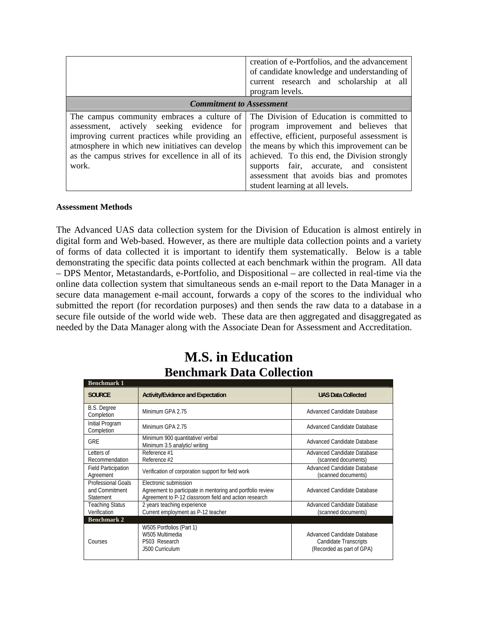|                                                                                                                                                                                                                                                                                                       | creation of e-Portfolios, and the advancement<br>of candidate knowledge and understanding of<br>current research and scholarship at all<br>program levels.                                                                                                                                                      |  |
|-------------------------------------------------------------------------------------------------------------------------------------------------------------------------------------------------------------------------------------------------------------------------------------------------------|-----------------------------------------------------------------------------------------------------------------------------------------------------------------------------------------------------------------------------------------------------------------------------------------------------------------|--|
| <b>Commitment to Assessment</b>                                                                                                                                                                                                                                                                       |                                                                                                                                                                                                                                                                                                                 |  |
| The campus community embraces a culture of The Division of Education is committed to<br>assessment, actively seeking evidence for<br>improving current practices while providing an<br>atmosphere in which new initiatives can develop<br>as the campus strives for excellence in all of its<br>work. | program improvement and believes that<br>effective, efficient, purposeful assessment is<br>the means by which this improvement can be<br>achieved. To this end, the Division strongly<br>supports fair, accurate, and consistent<br>assessment that avoids bias and promotes<br>student learning at all levels. |  |

#### **Assessment Methods**

The Advanced UAS data collection system for the Division of Education is almost entirely in digital form and Web-based. However, as there are multiple data collection points and a variety of forms of data collected it is important to identify them systematically. Below is a table demonstrating the specific data points collected at each benchmark within the program. All data – DPS Mentor, Metastandards, e-Portfolio, and Dispositional – are collected in real-time via the online data collection system that simultaneous sends an e-mail report to the Data Manager in a secure data management e-mail account, forwards a copy of the scores to the individual who submitted the report (for recordation purposes) and then sends the raw data to a database in a secure file outside of the world wide web. These data are then aggregated and disaggregated as needed by the Data Manager along with the Associate Dean for Assessment and Accreditation.

## **M.S. in Education Benchmark Data Collection**

| <b>Benchmark 1</b>                                              |                                                                                                                                              |                                                                                   |
|-----------------------------------------------------------------|----------------------------------------------------------------------------------------------------------------------------------------------|-----------------------------------------------------------------------------------|
| <b>SOURCE</b>                                                   | <b>Activity/Evidence and Expectation</b>                                                                                                     | <b>UAS Data Collected</b>                                                         |
| <b>B.S. Degree</b><br>Completion                                | Minimum GPA 2.75                                                                                                                             | Advanced Candidate Database                                                       |
| Initial Program<br>Completion                                   | Minimum GPA 2.75                                                                                                                             | Advanced Candidate Database                                                       |
| <b>GRE</b>                                                      | Minimum 900 quantitative/ verbal<br>Minimum 3.5 analytic/ writing                                                                            | Advanced Candidate Database                                                       |
| Letters of<br>Recommendation                                    | Reference #1<br>Reference #2                                                                                                                 | Advanced Candidate Database<br>(scanned documents)                                |
| <b>Field Participation</b><br>Agreement                         | Verification of corporation support for field work                                                                                           | Advanced Candidate Database<br>(scanned documents)                                |
| <b>Professional Goals</b><br>and Commitment<br><b>Statement</b> | Electronic submission<br>Agreement to participate in mentoring and portfolio review<br>Agreement to P-12 classroom field and action research | Advanced Candidate Database                                                       |
| <b>Teaching Status</b><br>Verification                          | 2 years teaching experience<br>Current employment as P-12 teacher                                                                            | Advanced Candidate Database<br>(scanned documents)                                |
| <b>Benchmark 2</b>                                              |                                                                                                                                              |                                                                                   |
| Courses                                                         | W505 Portfolios (Part 1)<br>W505 Multimedia<br>P503 Research<br>.J500 Curriculum                                                             | Advanced Candidate Database<br>Candidate Transcripts<br>(Recorded as part of GPA) |